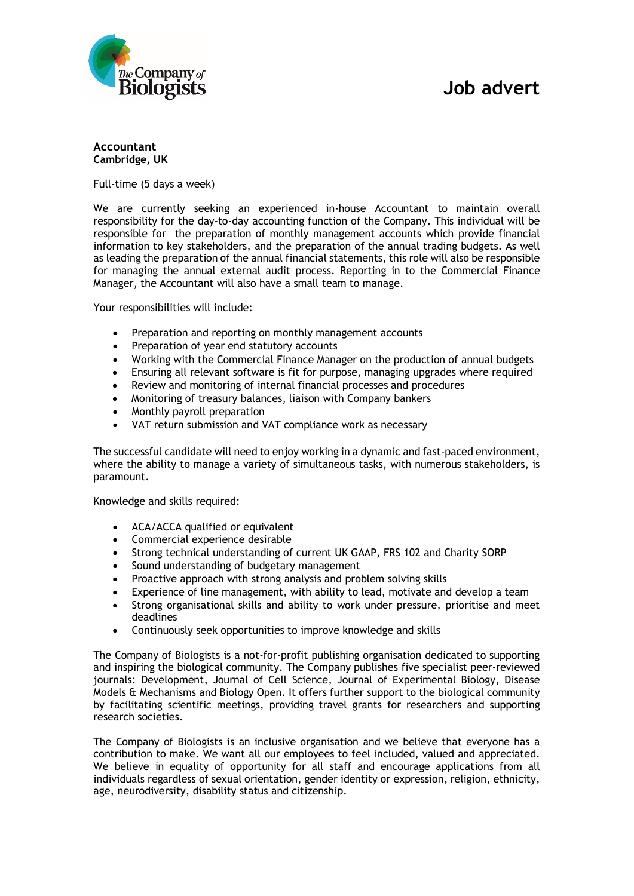

## **Accountant Cambridge, UK**

Full-time (5 days a week)

We are currently seeking an experienced in-house Accountant to maintain overall responsibility for the day-to-day accounting function of the Company. This individual will be responsible for the preparation of monthly management accounts which provide financial information to key stakeholders, and the preparation of the annual trading budgets. As well as leading the preparation of the annual financial statements, this role will also be responsible for managing the annual external audit process. Reporting in to the Commercial Finance Manager, the Accountant will also have a small team to manage.

Your responsibilities will include:

- Preparation and reporting on monthly management accounts
- Preparation of year end statutory accounts
- Working with the Commercial Finance Manager on the production of annual budgets
- Ensuring all relevant software is fit for purpose, managing upgrades where required
- Review and monitoring of internal financial processes and procedures
- Monitoring of treasury balances, liaison with Company bankers
- Monthly payroll preparation
- VAT return submission and VAT compliance work as necessary

The successful candidate will need to enjoy working in a dynamic and fast-paced environment, where the ability to manage a variety of simultaneous tasks, with numerous stakeholders, is paramount.

Knowledge and skills required:

- ACA/ACCA qualified or equivalent
- Commercial experience desirable
- Strong technical understanding of current UK GAAP, FRS 102 and Charity SORP
- Sound understanding of budgetary management
- Proactive approach with strong analysis and problem solving skills
- Experience of line management, with ability to lead, motivate and develop a team
- Strong organisational skills and ability to work under pressure, prioritise and meet deadlines
- Continuously seek opportunities to improve knowledge and skills

The Company of Biologists is a not-for-profit publishing organisation dedicated to supporting and inspiring the biological community. The Company publishes five specialist peer-reviewed journals: Development, Journal of Cell Science, Journal of Experimental Biology, Disease Models & Mechanisms and Biology Open. It offers further support to the biological community by facilitating scientific meetings, providing travel grants for researchers and supporting research societies.

The Company of Biologists is an inclusive organisation and we believe that everyone has a contribution to make. We want all our employees to feel included, valued and appreciated. We believe in equality of opportunity for all staff and encourage applications from all individuals regardless of sexual orientation, gender identity or expression, religion, ethnicity, age, neurodiversity, disability status and citizenship.